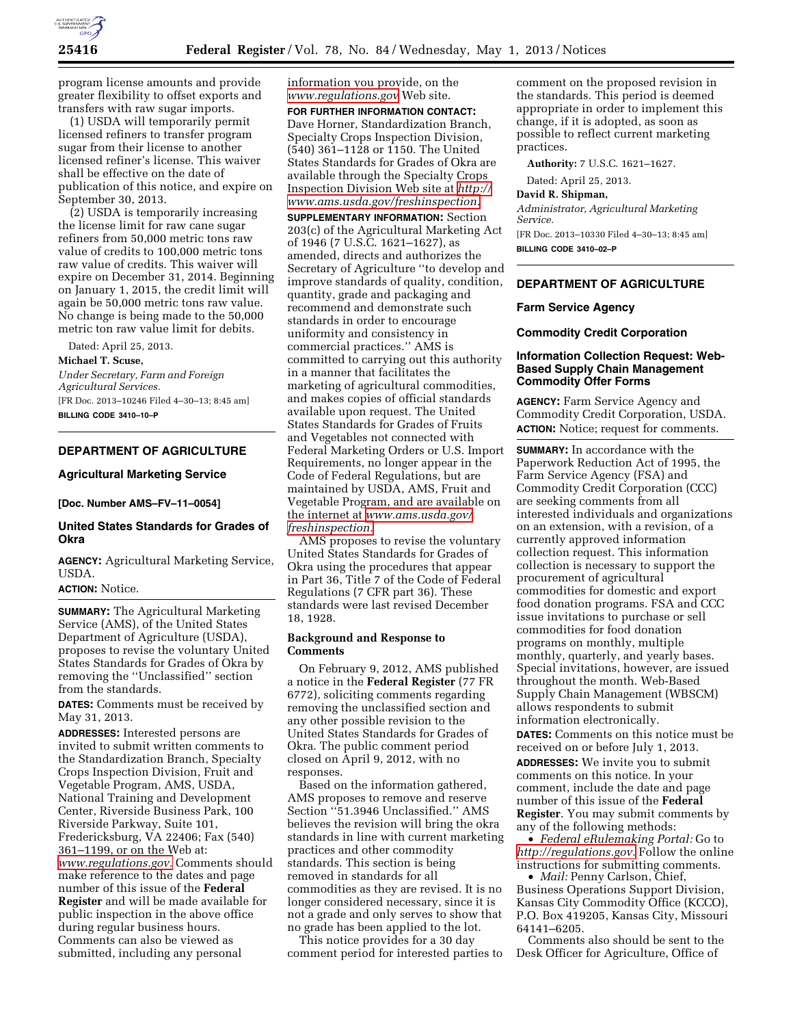

program license amounts and provide greater flexibility to offset exports and transfers with raw sugar imports.

(1) USDA will temporarily permit licensed refiners to transfer program sugar from their license to another licensed refiner's license. This waiver shall be effective on the date of publication of this notice, and expire on September 30, 2013.

(2) USDA is temporarily increasing the license limit for raw cane sugar refiners from 50,000 metric tons raw value of credits to 100,000 metric tons raw value of credits. This waiver will expire on December 31, 2014. Beginning on January 1, 2015, the credit limit will again be 50,000 metric tons raw value. No change is being made to the 50,000 metric ton raw value limit for debits.

Dated: April 25, 2013.

**Michael T. Scuse,** 

*Under Secretary, Farm and Foreign Agricultural Services.*  [FR Doc. 2013–10246 Filed 4–30–13; 8:45 am] **BILLING CODE 3410–10–P** 

# **DEPARTMENT OF AGRICULTURE**

# **Agricultural Marketing Service**

**[Doc. Number AMS–FV–11–0054]** 

# **United States Standards for Grades of Okra**

**AGENCY:** Agricultural Marketing Service, USDA.

### **ACTION:** Notice.

**SUMMARY:** The Agricultural Marketing Service (AMS), of the United States Department of Agriculture (USDA), proposes to revise the voluntary United States Standards for Grades of Okra by removing the ''Unclassified'' section from the standards.

**DATES:** Comments must be received by May 31, 2013.

**ADDRESSES:** Interested persons are invited to submit written comments to the Standardization Branch, Specialty Crops Inspection Division, Fruit and Vegetable Program, AMS, USDA, National Training and Development Center, Riverside Business Park, 100 Riverside Parkway, Suite 101, Fredericksburg, VA 22406; Fax (540) 361–1199, or on the Web at: *[www.regulations.gov.](http://www.regulations.gov)* Comments should make reference to the dates and page number of this issue of the **Federal Register** and will be made available for public inspection in the above office during regular business hours. Comments can also be viewed as submitted, including any personal

information you provide, on the *[www.regulations.gov](http://www.regulations.gov)* Web site.

**FOR FURTHER INFORMATION CONTACT:**  Dave Horner, Standardization Branch, Specialty Crops Inspection Division, (540) 361–1128 or 1150. The United States Standards for Grades of Okra are available through the Specialty Crops Inspection Division Web site at *[http://](http://www.ams.usda.gov/freshinspection)  [www.ams.usda.gov/freshinspection.](http://www.ams.usda.gov/freshinspection)* 

**SUPPLEMENTARY INFORMATION:** Section 203(c) of the Agricultural Marketing Act of 1946 (7 U.S.C. 1621–1627), as amended, directs and authorizes the Secretary of Agriculture ''to develop and improve standards of quality, condition, quantity, grade and packaging and recommend and demonstrate such standards in order to encourage uniformity and consistency in commercial practices.'' AMS is committed to carrying out this authority in a manner that facilitates the marketing of agricultural commodities, and makes copies of official standards available upon request. The United States Standards for Grades of Fruits and Vegetables not connected with Federal Marketing Orders or U.S. Import Requirements, no longer appear in the Code of Federal Regulations, but are maintained by USDA, AMS, Fruit and Vegetable Program, and are available on the internet at *[www.ams.usda.gov/](http://www.ams.usda.gov/freshinspection) [freshinspection.](http://www.ams.usda.gov/freshinspection)* 

AMS proposes to revise the voluntary United States Standards for Grades of Okra using the procedures that appear in Part 36, Title 7 of the Code of Federal Regulations (7 CFR part 36). These standards were last revised December 18, 1928.

#### **Background and Response to Comments**

On February 9, 2012, AMS published a notice in the **Federal Register** (77 FR 6772), soliciting comments regarding removing the unclassified section and any other possible revision to the United States Standards for Grades of Okra. The public comment period closed on April 9, 2012, with no responses.

Based on the information gathered, AMS proposes to remove and reserve Section ''51.3946 Unclassified.'' AMS believes the revision will bring the okra standards in line with current marketing practices and other commodity standards. This section is being removed in standards for all commodities as they are revised. It is no longer considered necessary, since it is not a grade and only serves to show that no grade has been applied to the lot.

This notice provides for a 30 day comment period for interested parties to

comment on the proposed revision in the standards. This period is deemed appropriate in order to implement this change, if it is adopted, as soon as possible to reflect current marketing practices.

**Authority:** 7 U.S.C. 1621–1627.

Dated: April 25, 2013.

**David R. Shipman,** 

*Administrator, Agricultural Marketing Service.* 

[FR Doc. 2013–10330 Filed 4–30–13; 8:45 am] **BILLING CODE 3410–02–P** 

## **DEPARTMENT OF AGRICULTURE**

### **Farm Service Agency**

#### **Commodity Credit Corporation**

### **Information Collection Request: Web-Based Supply Chain Management Commodity Offer Forms**

**AGENCY:** Farm Service Agency and Commodity Credit Corporation, USDA. **ACTION:** Notice; request for comments.

**SUMMARY:** In accordance with the Paperwork Reduction Act of 1995, the Farm Service Agency (FSA) and Commodity Credit Corporation (CCC) are seeking comments from all interested individuals and organizations on an extension, with a revision, of a currently approved information collection request. This information collection is necessary to support the procurement of agricultural commodities for domestic and export food donation programs. FSA and CCC issue invitations to purchase or sell commodities for food donation programs on monthly, multiple monthly, quarterly, and yearly bases. Special invitations, however, are issued throughout the month. Web-Based Supply Chain Management (WBSCM) allows respondents to submit information electronically.

**DATES:** Comments on this notice must be received on or before July 1, 2013. **ADDRESSES:** We invite you to submit comments on this notice. In your comment, include the date and page number of this issue of the **Federal Register**. You may submit comments by any of the following methods:

• *Federal eRulemaking Portal:* Go to *[http://regulations.gov.](http://regulations.gov)* Follow the online instructions for submitting comments.

• *Mail:* Penny Carlson, Chief, Business Operations Support Division, Kansas City Commodity Office (KCCO), P.O. Box 419205, Kansas City, Missouri 64141–6205.

Comments also should be sent to the Desk Officer for Agriculture, Office of